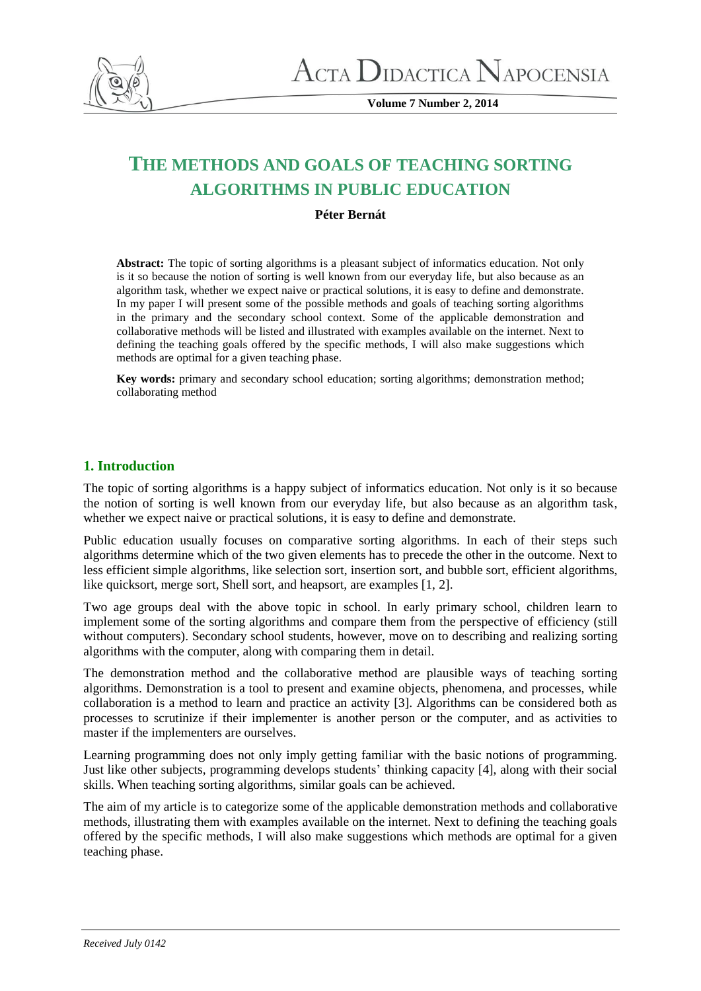

**Volume 7 Number 2, 2014**

# **THE METHODS AND GOALS OF TEACHING SORTING ALGORITHMS IN PUBLIC EDUCATION**

## **Péter Bernát**

**Abstract:** The topic of sorting algorithms is a pleasant subject of informatics education. Not only is it so because the notion of sorting is well known from our everyday life, but also because as an algorithm task, whether we expect naive or practical solutions, it is easy to define and demonstrate. In my paper I will present some of the possible methods and goals of teaching sorting algorithms in the primary and the secondary school context. Some of the applicable demonstration and collaborative methods will be listed and illustrated with examples available on the internet. Next to defining the teaching goals offered by the specific methods, I will also make suggestions which methods are optimal for a given teaching phase.

Key words: primary and secondary school education; sorting algorithms; demonstration method; collaborating method

# **1. Introduction**

The topic of sorting algorithms is a happy subject of informatics education. Not only is it so because the notion of sorting is well known from our everyday life, but also because as an algorithm task, whether we expect naive or practical solutions, it is easy to define and demonstrate.

Public education usually focuses on comparative sorting algorithms. In each of their steps such algorithms determine which of the two given elements has to precede the other in the outcome. Next to less efficient simple algorithms, like selection sort, insertion sort, and bubble sort, efficient algorithms, like quicksort, merge sort, Shell sort, and heapsort, are examples [1, 2].

Two age groups deal with the above topic in school. In early primary school, children learn to implement some of the sorting algorithms and compare them from the perspective of efficiency (still without computers). Secondary school students, however, move on to describing and realizing sorting algorithms with the computer, along with comparing them in detail.

The demonstration method and the collaborative method are plausible ways of teaching sorting algorithms. Demonstration is a tool to present and examine objects, phenomena, and processes, while collaboration is a method to learn and practice an activity [3]. Algorithms can be considered both as processes to scrutinize if their implementer is another person or the computer, and as activities to master if the implementers are ourselves.

Learning programming does not only imply getting familiar with the basic notions of programming. Just like other subjects, programming develops students' thinking capacity [4], along with their social skills. When teaching sorting algorithms, similar goals can be achieved.

The aim of my article is to categorize some of the applicable demonstration methods and collaborative methods, illustrating them with examples available on the internet. Next to defining the teaching goals offered by the specific methods, I will also make suggestions which methods are optimal for a given teaching phase.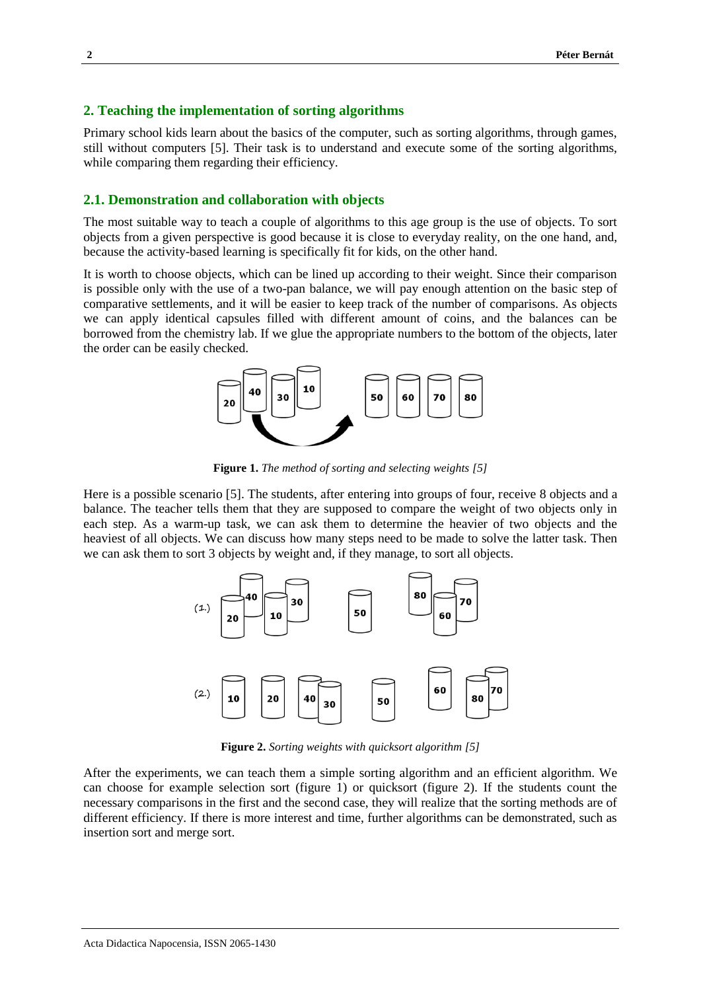#### **2. Teaching the implementation of sorting algorithms**

Primary school kids learn about the basics of the computer, such as sorting algorithms, through games, still without computers [5]. Their task is to understand and execute some of the sorting algorithms, while comparing them regarding their efficiency.

# **2.1. Demonstration and collaboration with objects**

The most suitable way to teach a couple of algorithms to this age group is the use of objects. To sort objects from a given perspective is good because it is close to everyday reality, on the one hand, and, because the activity-based learning is specifically fit for kids, on the other hand.

It is worth to choose objects, which can be lined up according to their weight. Since their comparison is possible only with the use of a two-pan balance, we will pay enough attention on the basic step of comparative settlements, and it will be easier to keep track of the number of comparisons. As objects we can apply identical capsules filled with different amount of coins, and the balances can be borrowed from the chemistry lab. If we glue the appropriate numbers to the bottom of the objects, later the order can be easily checked.



**Figure 1.** *The method of sorting and selecting weights [5]*

Here is a possible scenario [5]. The students, after entering into groups of four, receive 8 objects and a balance. The teacher tells them that they are supposed to compare the weight of two objects only in each step. As a warm-up task, we can ask them to determine the heavier of two objects and the heaviest of all objects. We can discuss how many steps need to be made to solve the latter task. Then we can ask them to sort 3 objects by weight and, if they manage, to sort all objects.



**Figure 2.** *Sorting weights with quicksort algorithm [5]*

After the experiments, we can teach them a simple sorting algorithm and an efficient algorithm. We can choose for example selection sort (figure 1) or quicksort (figure 2). If the students count the necessary comparisons in the first and the second case, they will realize that the sorting methods are of different efficiency. If there is more interest and time, further algorithms can be demonstrated, such as insertion sort and merge sort.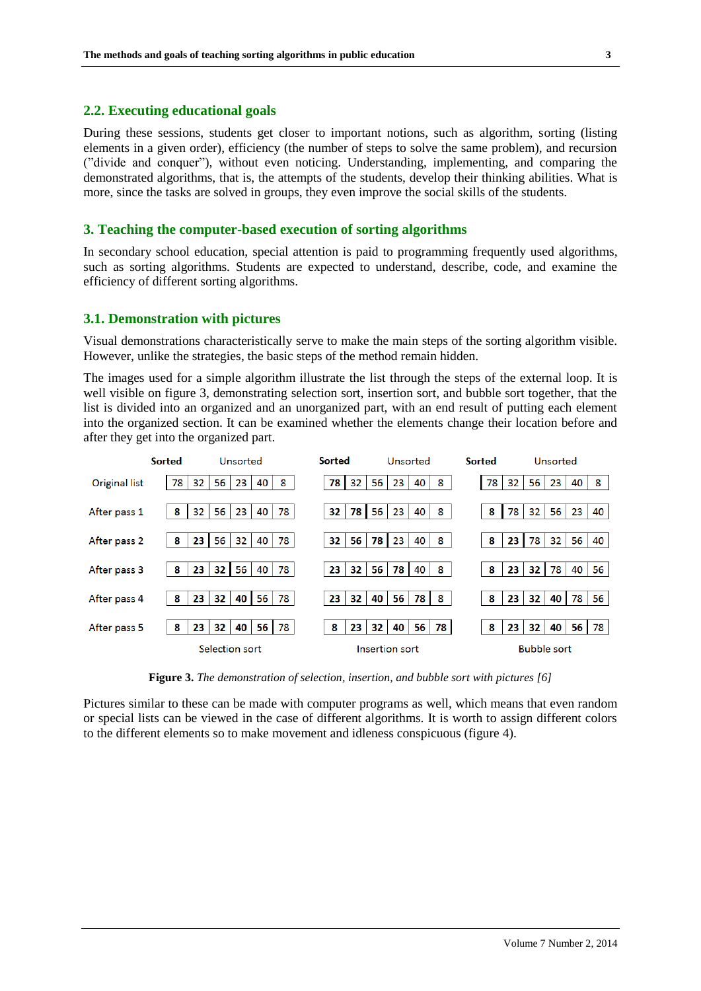#### **2.2. Executing educational goals**

During these sessions, students get closer to important notions, such as algorithm, sorting (listing elements in a given order), efficiency (the number of steps to solve the same problem), and recursion ("divide and conquer"), without even noticing. Understanding, implementing, and comparing the demonstrated algorithms, that is, the attempts of the students, develop their thinking abilities. What is more, since the tasks are solved in groups, they even improve the social skills of the students.

#### **3. Teaching the computer-based execution of sorting algorithms**

In secondary school education, special attention is paid to programming frequently used algorithms, such as sorting algorithms. Students are expected to understand, describe, code, and examine the efficiency of different sorting algorithms.

#### **3.1. Demonstration with pictures**

Visual demonstrations characteristically serve to make the main steps of the sorting algorithm visible. However, unlike the strategies, the basic steps of the method remain hidden.

The images used for a simple algorithm illustrate the list through the steps of the external loop. It is well visible on figure 3, demonstrating selection sort, insertion sort, and bubble sort together, that the list is divided into an organized and an unorganized part, with an end result of putting each element into the organized section. It can be examined whether the elements change their location before and after they get into the organized part.



**Figure 3.** *The demonstration of selection, insertion, and bubble sort with pictures [6]*

Pictures similar to these can be made with computer programs as well, which means that even random or special lists can be viewed in the case of different algorithms. It is worth to assign different colors to the different elements so to make movement and idleness conspicuous (figure 4).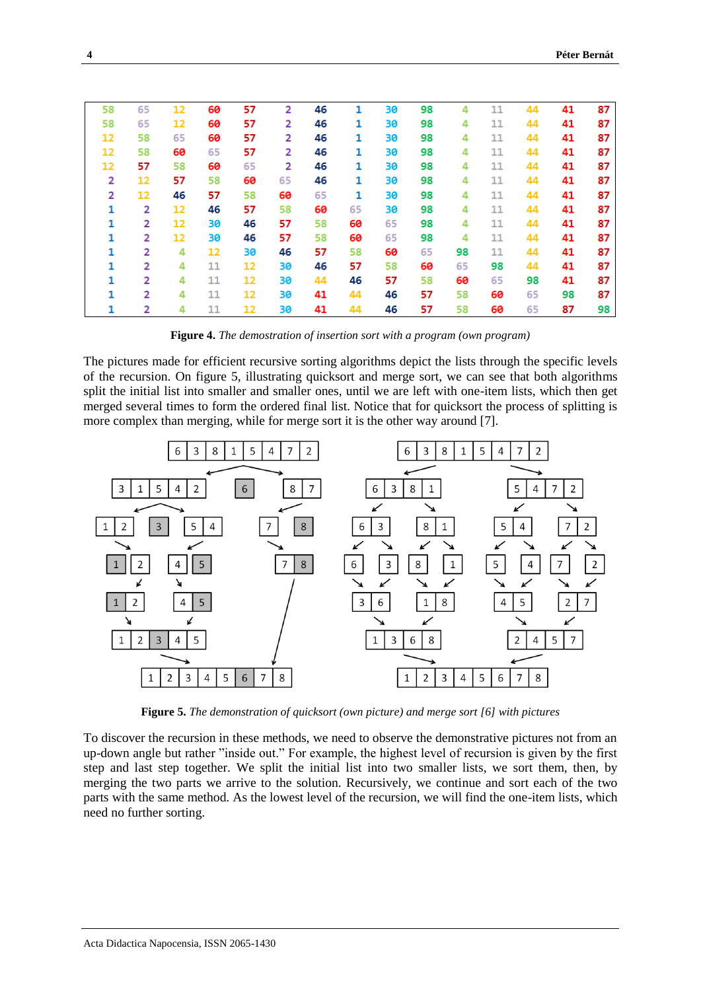| 58 | 65             | 12 | 60 | 57 | 2              | 46 | 1  | 30 | 98 | 4  | 11 | 44 | 41 | 87 |
|----|----------------|----|----|----|----------------|----|----|----|----|----|----|----|----|----|
| 58 | 65             | 12 | 60 | 57 | 2              | 46 | 1  | 30 | 98 | 4  | 11 | 44 | 41 | 87 |
| 12 | 58             | 65 | 60 | 57 | $\overline{2}$ | 46 | 1  | 30 | 98 | 4  | 11 | 44 | 41 | 87 |
| 12 | 58             | 60 | 65 | 57 | 2              | 46 | 1  | 30 | 98 | 4  | 11 | 44 | 41 | 87 |
| 12 | 57             | 58 | 60 | 65 | 2              | 46 | 1  | 30 | 98 | 4  | 11 | 44 | 41 | 87 |
| 2  | 12             | 57 | 58 | 60 | 65             | 46 | 1  | 30 | 98 | 4  | 11 | 44 | 41 | 87 |
| 2  | 12             | 46 | 57 | 58 | 60             | 65 | 1  | 30 | 98 | 4  | 11 | 44 | 41 | 87 |
| 1  | 2              | 12 | 46 | 57 | 58             | 60 | 65 | 30 | 98 | 4  | 11 | 44 | 41 | 87 |
| 1  | 2              | 12 | 30 | 46 | 57             | 58 | 60 | 65 | 98 | 4  | 11 | 44 | 41 | 87 |
| 1  | 2              | 12 | 30 | 46 | 57             | 58 | 60 | 65 | 98 | 4  | 11 | 44 | 41 | 87 |
| 1  | $\overline{2}$ | 4  | 12 | 30 | 46             | 57 | 58 | 60 | 65 | 98 | 11 | 44 | 41 | 87 |
| 1  | 2              | 4  | 11 | 12 | 30             | 46 | 57 | 58 | 60 | 65 | 98 | 44 | 41 | 87 |
| 1  | 2              | 4  | 11 | 12 | 30             | 44 | 46 | 57 | 58 | 60 | 65 | 98 | 41 | 87 |
| 1  | 2              | 4  | 11 | 12 | 30             | 41 | 44 | 46 | 57 | 58 | 60 | 65 | 98 | 87 |
| 1  | 2              | 4  | 11 | 12 | 30             | 41 | 44 | 46 | 57 | 58 | 60 | 65 | 87 | 98 |

**Figure 4.** *The demostration of insertion sort with a program (own program)*

The pictures made for efficient recursive sorting algorithms depict the lists through the specific levels of the recursion. On figure 5, illustrating quicksort and merge sort, we can see that both algorithms split the initial list into smaller and smaller ones, until we are left with one-item lists, which then get merged several times to form the ordered final list. Notice that for quicksort the process of splitting is more complex than merging, while for merge sort it is the other way around [7].



**Figure 5.** *The demonstration of quicksort (own picture) and merge sort [6] with pictures*

To discover the recursion in these methods, we need to observe the demonstrative pictures not from an up-down angle but rather "inside out." For example, the highest level of recursion is given by the first step and last step together. We split the initial list into two smaller lists, we sort them, then, by merging the two parts we arrive to the solution. Recursively, we continue and sort each of the two parts with the same method. As the lowest level of the recursion, we will find the one-item lists, which need no further sorting.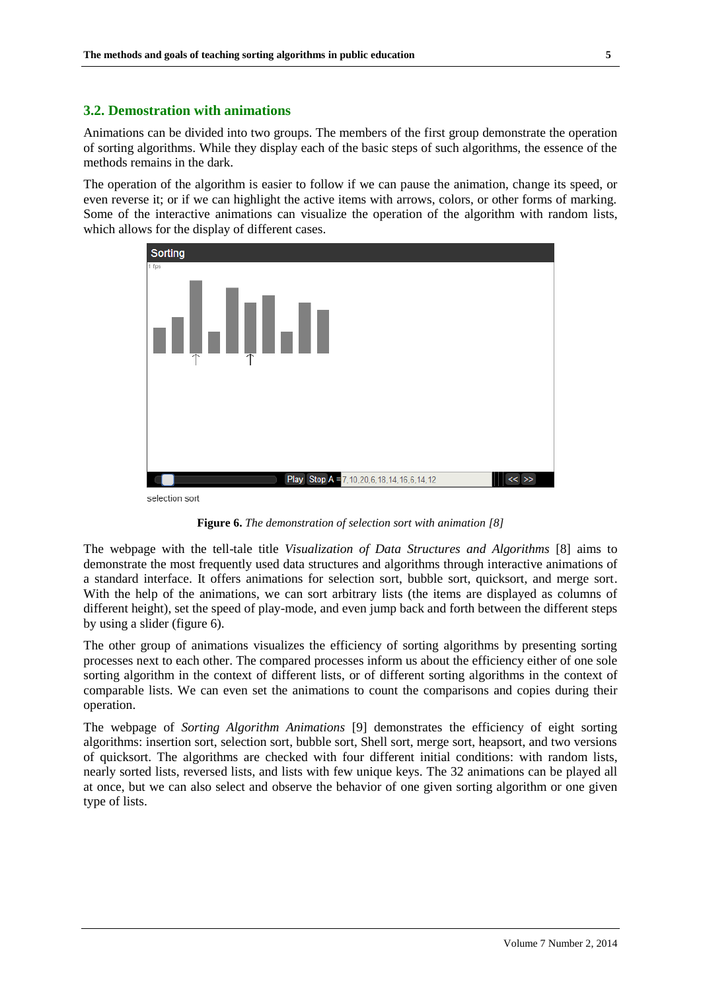#### **3.2. Demostration with animations**

Animations can be divided into two groups. The members of the first group demonstrate the operation of sorting algorithms. While they display each of the basic steps of such algorithms, the essence of the methods remains in the dark.

The operation of the algorithm is easier to follow if we can pause the animation, change its speed, or even reverse it; or if we can highlight the active items with arrows, colors, or other forms of marking. Some of the interactive animations can visualize the operation of the algorithm with random lists, which allows for the display of different cases.



**Figure 6.** *The demonstration of selection sort with animation [8]*

The webpage with the tell-tale title *Visualization of Data Structures and Algorithms* [8] aims to demonstrate the most frequently used data structures and algorithms through interactive animations of a standard interface. It offers animations for selection sort, bubble sort, quicksort, and merge sort. With the help of the animations, we can sort arbitrary lists (the items are displayed as columns of different height), set the speed of play-mode, and even jump back and forth between the different steps by using a slider (figure 6).

The other group of animations visualizes the efficiency of sorting algorithms by presenting sorting processes next to each other. The compared processes inform us about the efficiency either of one sole sorting algorithm in the context of different lists, or of different sorting algorithms in the context of comparable lists. We can even set the animations to count the comparisons and copies during their operation.

The webpage of *Sorting Algorithm Animations* [9] demonstrates the efficiency of eight sorting algorithms: insertion sort, selection sort, bubble sort, Shell sort, merge sort, heapsort, and two versions of quicksort. The algorithms are checked with four different initial conditions: with random lists, nearly sorted lists, reversed lists, and lists with few unique keys. The 32 animations can be played all at once, but we can also select and observe the behavior of one given sorting algorithm or one given type of lists.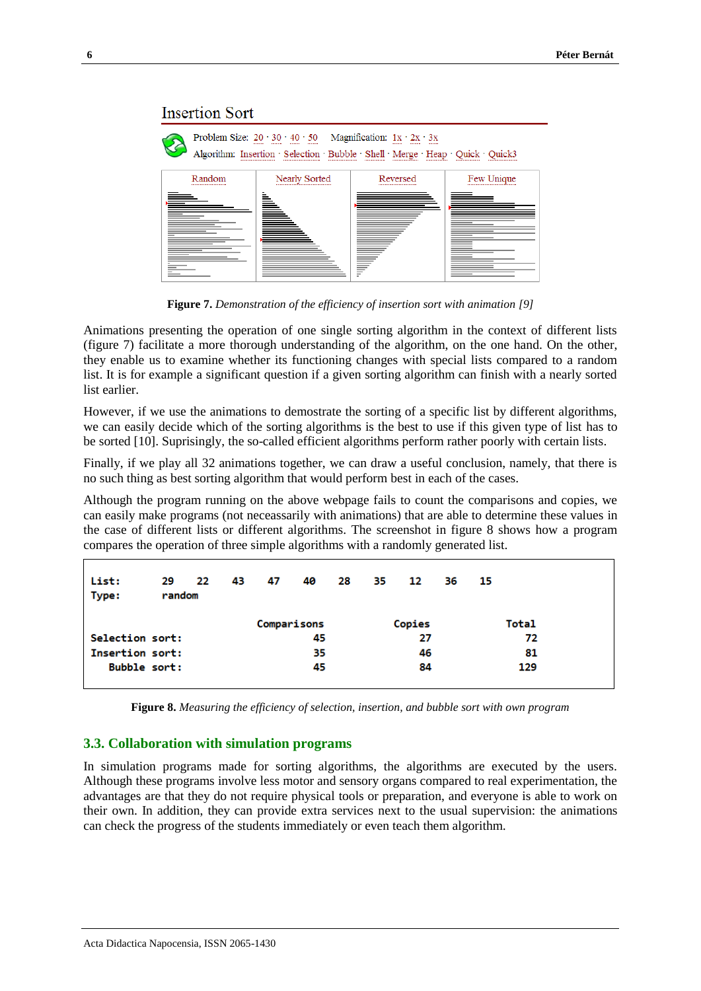## **Insertion Sort**

| Problem Size: $20 \cdot 30 \cdot 40 \cdot 50$ Magnification: $1x \cdot 2x \cdot 3x$<br><br><br>---------<br>---------<br><br><br>Algorithm: Insertion · Selection · Bubble · Shell · Merge · Heap · Quick · Quick3<br><del></del> |               |              |            |  |  |  |  |  |  |  |  |
|-----------------------------------------------------------------------------------------------------------------------------------------------------------------------------------------------------------------------------------|---------------|--------------|------------|--|--|--|--|--|--|--|--|
| Random<br>                                                                                                                                                                                                                        | Nearly Sorted | Reversed<br> | Few Unique |  |  |  |  |  |  |  |  |
|                                                                                                                                                                                                                                   | ≧             | -            |            |  |  |  |  |  |  |  |  |

**Figure 7.** *Demonstration of the efficiency of insertion sort with animation [9]*

Animations presenting the operation of one single sorting algorithm in the context of different lists (figure 7) facilitate a more thorough understanding of the algorithm, on the one hand. On the other, they enable us to examine whether its functioning changes with special lists compared to a random list. It is for example a significant question if a given sorting algorithm can finish with a nearly sorted list earlier.

However, if we use the animations to demostrate the sorting of a specific list by different algorithms, we can easily decide which of the sorting algorithms is the best to use if this given type of list has to be sorted [10]. Suprisingly, the so-called efficient algorithms perform rather poorly with certain lists.

Finally, if we play all 32 animations together, we can draw a useful conclusion, namely, that there is no such thing as best sorting algorithm that would perform best in each of the cases.

Although the program running on the above webpage fails to count the comparisons and copies, we can easily make programs (not neceassarily with animations) that are able to determine these values in the case of different lists or different algorithms. The screenshot in figure 8 shows how a program compares the operation of three simple algorithms with a randomly generated list.

| List:<br>Type:         | 29<br>random | 22 | 43 | 47 | 40          | 28 | - 35 | 12     | - 36 | - 15 |              |
|------------------------|--------------|----|----|----|-------------|----|------|--------|------|------|--------------|
|                        |              |    |    |    | Comparisons |    |      | Copies |      |      | <b>Total</b> |
| Selection sort:        |              |    |    | 45 |             |    | 27   |        |      |      | 72           |
| <b>Insertion sort:</b> |              |    |    |    | 35          |    |      | 46     |      |      | 81           |
| <b>Bubble sort:</b>    |              |    |    |    | 45          |    |      | 84     |      |      | 129          |

**Figure 8.** *Measuring the efficiency of selection, insertion, and bubble sort with own program*

# **3.3. Collaboration with simulation programs**

In simulation programs made for sorting algorithms, the algorithms are executed by the users. Although these programs involve less motor and sensory organs compared to real experimentation, the advantages are that they do not require physical tools or preparation, and everyone is able to work on their own. In addition, they can provide extra services next to the usual supervision: the animations can check the progress of the students immediately or even teach them algorithm.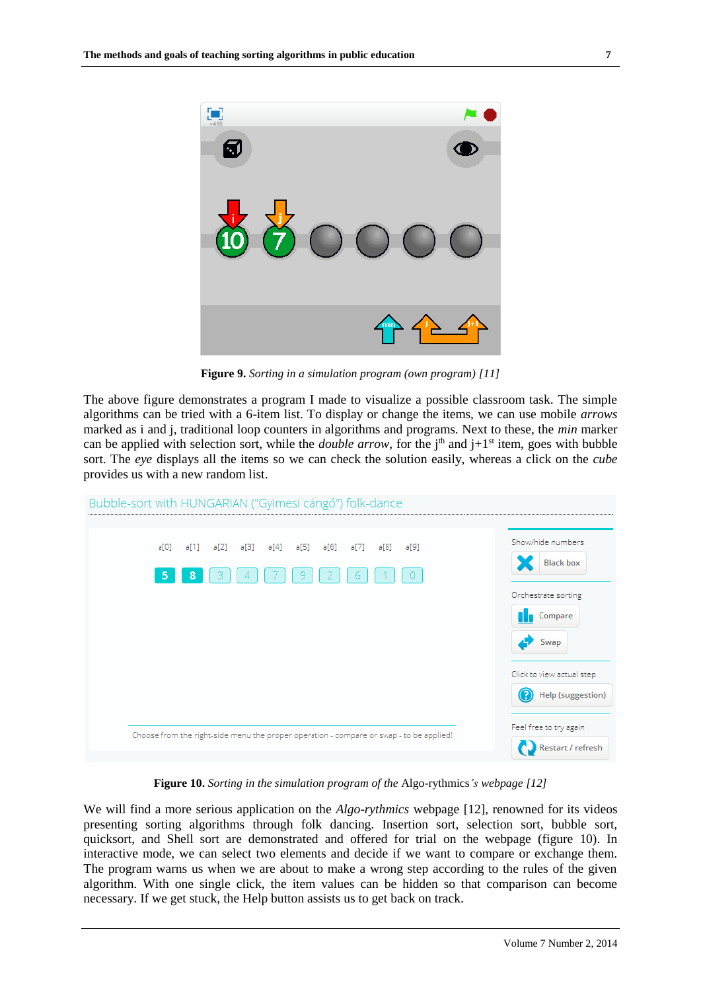

**Figure 9.** *Sorting in a simulation program (own program) [11]*

The above figure demonstrates a program I made to visualize a possible classroom task. The simple algorithms can be tried with a 6-item list. To display or change the items, we can use mobile *arrows* marked as i and j, traditional loop counters in algorithms and programs. Next to these, the *min* marker can be applied with selection sort, while the *double arrow*, for the  $j<sup>th</sup>$  and  $j+1<sup>st</sup>$  item, goes with bubble sort. The *eye* displays all the items so we can check the solution easily, whereas a click on the *cube* provides us with a new random list.



**Figure 10.** *Sorting in the simulation program of the* Algo-rythmics*'s webpage [12]*

We will find a more serious application on the *Algo-rythmics* webpage [12], renowned for its videos presenting sorting algorithms through folk dancing. Insertion sort, selection sort, bubble sort, quicksort, and Shell sort are demonstrated and offered for trial on the webpage (figure 10). In interactive mode, we can select two elements and decide if we want to compare or exchange them. The program warns us when we are about to make a wrong step according to the rules of the given algorithm. With one single click, the item values can be hidden so that comparison can become necessary. If we get stuck, the Help button assists us to get back on track.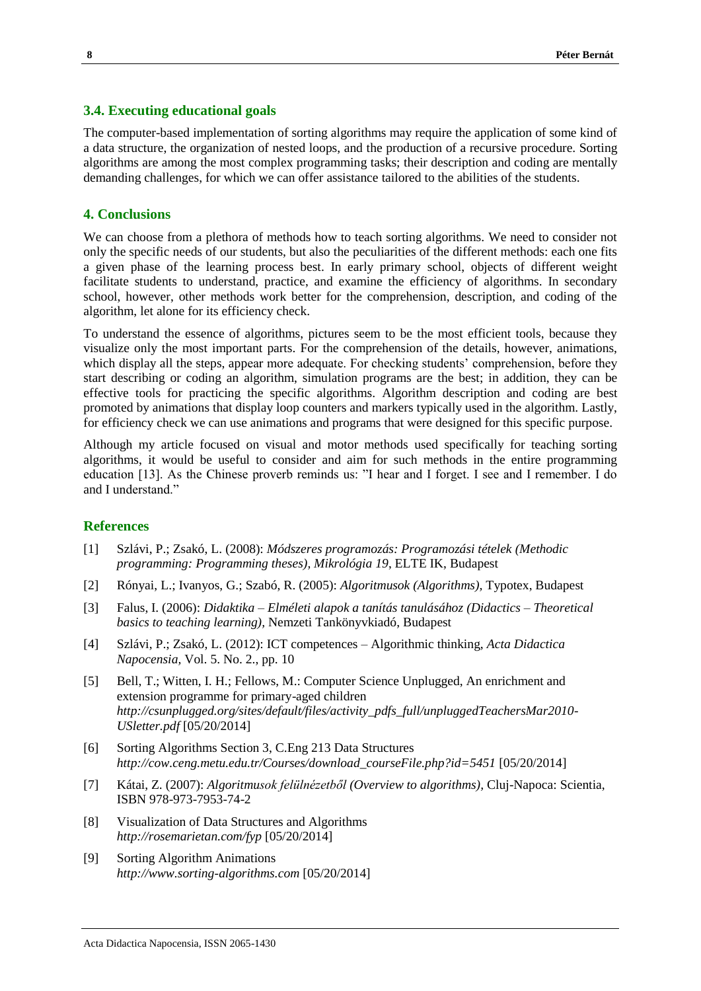#### **3.4. Executing educational goals**

The computer-based implementation of sorting algorithms may require the application of some kind of a data structure, the organization of nested loops, and the production of a recursive procedure. Sorting algorithms are among the most complex programming tasks; their description and coding are mentally demanding challenges, for which we can offer assistance tailored to the abilities of the students.

# **4. Conclusions**

We can choose from a plethora of methods how to teach sorting algorithms. We need to consider not only the specific needs of our students, but also the peculiarities of the different methods: each one fits a given phase of the learning process best. In early primary school, objects of different weight facilitate students to understand, practice, and examine the efficiency of algorithms. In secondary school, however, other methods work better for the comprehension, description, and coding of the algorithm, let alone for its efficiency check.

To understand the essence of algorithms, pictures seem to be the most efficient tools, because they visualize only the most important parts. For the comprehension of the details, however, animations, which display all the steps, appear more adequate. For checking students' comprehension, before they start describing or coding an algorithm, simulation programs are the best; in addition, they can be effective tools for practicing the specific algorithms. Algorithm description and coding are best promoted by animations that display loop counters and markers typically used in the algorithm. Lastly, for efficiency check we can use animations and programs that were designed for this specific purpose.

Although my article focused on visual and motor methods used specifically for teaching sorting algorithms, it would be useful to consider and aim for such methods in the entire programming education [13]. As the Chinese proverb reminds us: "I hear and I forget. I see and I remember. I do and I understand."

# **References**

- [1] Szlávi, P.; Zsakó, L. (2008): *Módszeres programozás: Programozási tételek (Methodic programming: Programming theses), Mikrológia 19*, ELTE IK, Budapest
- [2] Rónyai, L.; Ivanyos, G.; Szabó, R. (2005): *Algoritmusok (Algorithms),* Typotex, Budapest
- [3] Falus, I. (2006): *Didaktika – Elméleti alapok a tanítás tanulásához (Didactics – Theoretical basics to teaching learning),* Nemzeti Tankönyvkiadó, Budapest
- [4] Szlávi, P.; Zsakó, L. (2012): ICT competences Algorithmic thinking, *Acta Didactica Napocensia,* Vol. 5. No. 2., pp. 10
- [5] Bell, T.; Witten, I. H.; Fellows, M.: Computer Science Unplugged, An enrichment and extension programme for primary-aged children *http://csunplugged.org/sites/default/files/activity\_pdfs\_full/unpluggedTeachersMar2010- USletter.pdf* [05/20/2014]
- [6] Sorting Algorithms Section 3, C.Eng 213 Data Structures *http://cow.ceng.metu.edu.tr/Courses/download\_courseFile.php?id=5451* [05/20/2014]
- [7] Kátai, Z. (2007): *Algoritmusok felülnézetből (Overview to algorithms),* Cluj-Napoca: Scientia, ISBN 978-973-7953-74-2
- [8] Visualization of Data Structures and Algorithms *http://rosemarietan.com/fyp* [05/20/2014]
- [9] Sorting Algorithm Animations *http://www.sorting-algorithms.com* [05/20/2014]